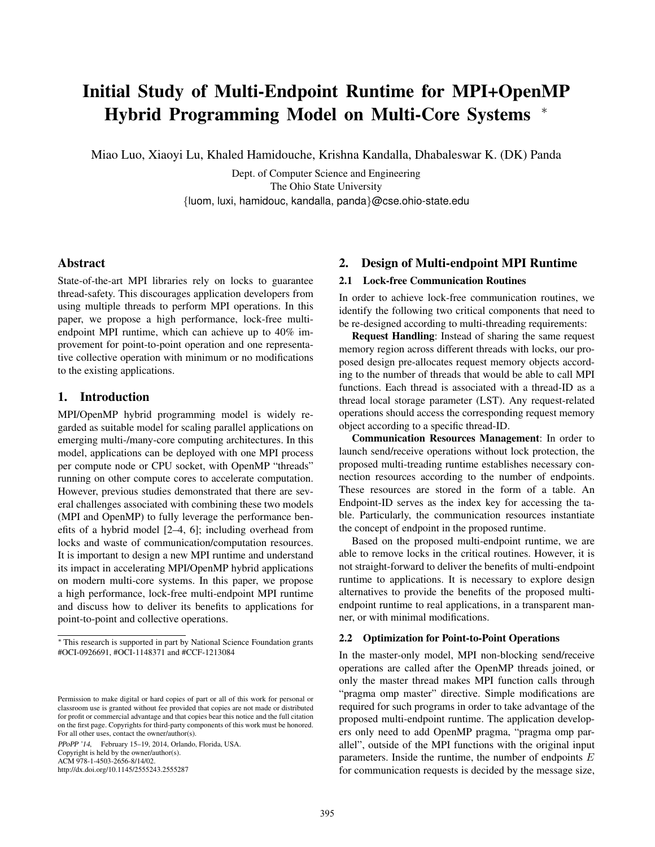# Initial Study of Multi-Endpoint Runtime for MPI+OpenMP Hybrid Programming Model on Multi-Core Systems <sup>∗</sup>

Miao Luo, Xiaoyi Lu, Khaled Hamidouche, Krishna Kandalla, Dhabaleswar K. (DK) Panda

Dept. of Computer Science and Engineering The Ohio State University {luom, luxi, hamidouc, kandalla, panda}@cse.ohio-state.edu

# Abstract

State-of-the-art MPI libraries rely on locks to guarantee thread-safety. This discourages application developers from using multiple threads to perform MPI operations. In this paper, we propose a high performance, lock-free multiendpoint MPI runtime, which can achieve up to 40% improvement for point-to-point operation and one representative collective operation with minimum or no modifications to the existing applications.

# 1. Introduction

MPI/OpenMP hybrid programming model is widely regarded as suitable model for scaling parallel applications on emerging multi-/many-core computing architectures. In this model, applications can be deployed with one MPI process per compute node or CPU socket, with OpenMP "threads" running on other compute cores to accelerate computation. However, previous studies demonstrated that there are several challenges associated with combining these two models (MPI and OpenMP) to fully leverage the performance benefits of a hybrid model [2–4, 6]; including overhead from locks and waste of communication/computation resources. It is important to design a new MPI runtime and understand its impact in accelerating MPI/OpenMP hybrid applications on modern multi-core systems. In this paper, we propose a high performance, lock-free multi-endpoint MPI runtime and discuss how to deliver its benefits to applications for point-to-point and collective operations.

PPoPP '14, February 15–19, 2014, Orlando, Florida, USA. Copyright is held by the owner/author(s). ACM 978-1-4503-2656-8/14/02.

#### http://dx.doi.org/10.1145/2555243.2555287

# 2. Design of Multi-endpoint MPI Runtime

# 2.1 Lock-free Communication Routines

In order to achieve lock-free communication routines, we identify the following two critical components that need to be re-designed according to multi-threading requirements:

Request Handling: Instead of sharing the same request memory region across different threads with locks, our proposed design pre-allocates request memory objects according to the number of threads that would be able to call MPI functions. Each thread is associated with a thread-ID as a thread local storage parameter (LST). Any request-related operations should access the corresponding request memory object according to a specific thread-ID.

Communication Resources Management: In order to launch send/receive operations without lock protection, the proposed multi-treading runtime establishes necessary connection resources according to the number of endpoints. These resources are stored in the form of a table. An Endpoint-ID serves as the index key for accessing the table. Particularly, the communication resources instantiate the concept of endpoint in the proposed runtime.

Based on the proposed multi-endpoint runtime, we are able to remove locks in the critical routines. However, it is not straight-forward to deliver the benefits of multi-endpoint runtime to applications. It is necessary to explore design alternatives to provide the benefits of the proposed multiendpoint runtime to real applications, in a transparent manner, or with minimal modifications.

# 2.2 Optimization for Point-to-Point Operations

In the master-only model, MPI non-blocking send/receive operations are called after the OpenMP threads joined, or only the master thread makes MPI function calls through "pragma omp master" directive. Simple modifications are required for such programs in order to take advantage of the proposed multi-endpoint runtime. The application developers only need to add OpenMP pragma, "pragma omp parallel", outside of the MPI functions with the original input parameters. Inside the runtime, the number of endpoints  $E$ for communication requests is decided by the message size,

<sup>∗</sup> This research is supported in part by National Science Foundation grants #OCI-0926691, #OCI-1148371 and #CCF-1213084

Permission to make digital or hard copies of part or all of this work for personal or classroom use is granted without fee provided that copies are not made or distributed for profit or commercial advantage and that copies bear this notice and the full citation on the first page. Copyrights for third-party components of this work must be honored. For all other uses, contact the owner/author(s).